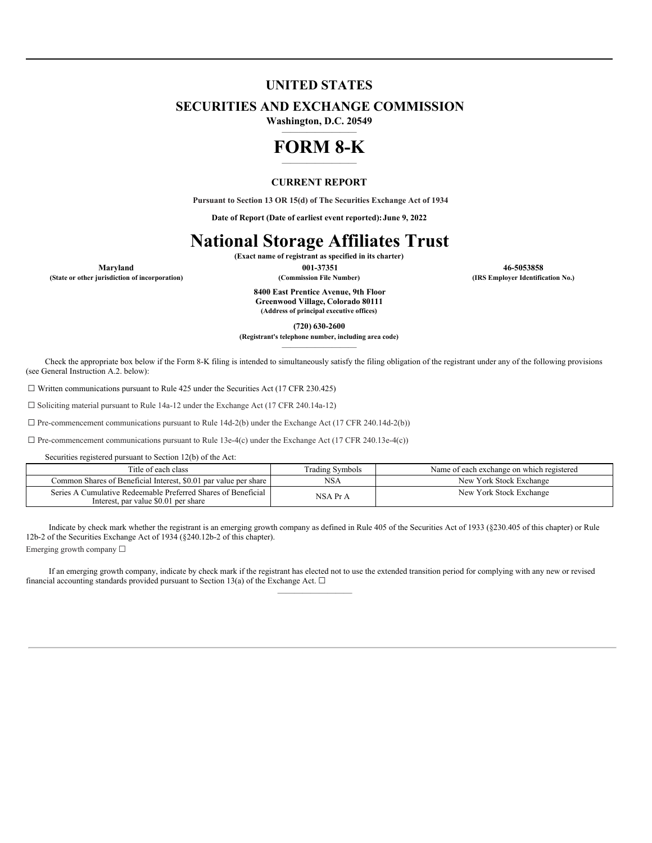# **UNITED STATES**

## **SECURITIES AND EXCHANGE COMMISSION**

**Washington, D.C. 20549** —————————

# **FORM 8-K** —————————

### **CURRENT REPORT**

**Pursuant to Section 13 OR 15(d) of The Securities Exchange Act of 1934**

**Date of Report (Date of earliest event reported):June 9, 2022**

# **National Storage Affiliates Trust**

**(Exact name of registrant as specified in its charter)**

**8400 East Prentice Avenue, 9th Floor Greenwood Village, Colorado 80111 (Address of principal executive offices)**

**(720) 630-2600**

**(Registrant's telephone number, including area code)** —————————

Check the appropriate box below if the Form 8-K filing is intended to simultaneously satisfy the filing obligation of the registrant under any of the following provisions (see General Instruction A.2. below):

 $\Box$  Written communications pursuant to Rule 425 under the Securities Act (17 CFR 230.425)

☐ Soliciting material pursuant to Rule 14a-12 under the Exchange Act (17 CFR 240.14a-12)

☐ Pre-commencement communications pursuant to Rule 14d-2(b) under the Exchange Act (17 CFR 240.14d-2(b))

 $\Box$  Pre-commencement communications pursuant to Rule 13e-4(c) under the Exchange Act (17 CFR 240.13e-4(c))

Securities registered pursuant to Section 12(b) of the Act:

| Title of each class                                                                                   | <b>Trading Symbols</b> | Name of each exchange on which registered |
|-------------------------------------------------------------------------------------------------------|------------------------|-------------------------------------------|
| Common Shares of Beneficial Interest, \$0.01 par value per share                                      | <b>NSA</b>             | New York Stock Exchange                   |
| Series A Cumulative Redeemable Preferred Shares of Beneficial<br>Interest, par value \$0.01 per share | NSA Pr A               | New York Stock Exchange                   |

Indicate by check mark whether the registrant is an emerging growth company as defined in Rule 405 of the Securities Act of 1933 (§230.405 of this chapter) or Rule 12b-2 of the Securities Exchange Act of 1934 (§240.12b-2 of this chapter).

Emerging growth company ☐

If an emerging growth company, indicate by check mark if the registrant has elected not to use the extended transition period for complying with any new or revised financial accounting standards provided pursuant to Section 13(a) of the Exchange Act.  $\Box$  $\overline{\phantom{a}}$ 

**Maryland 001-37351 46-5053858 (State or other jurisdiction of incorporation) (Commission File Number) (IRS Employer Identification No.)**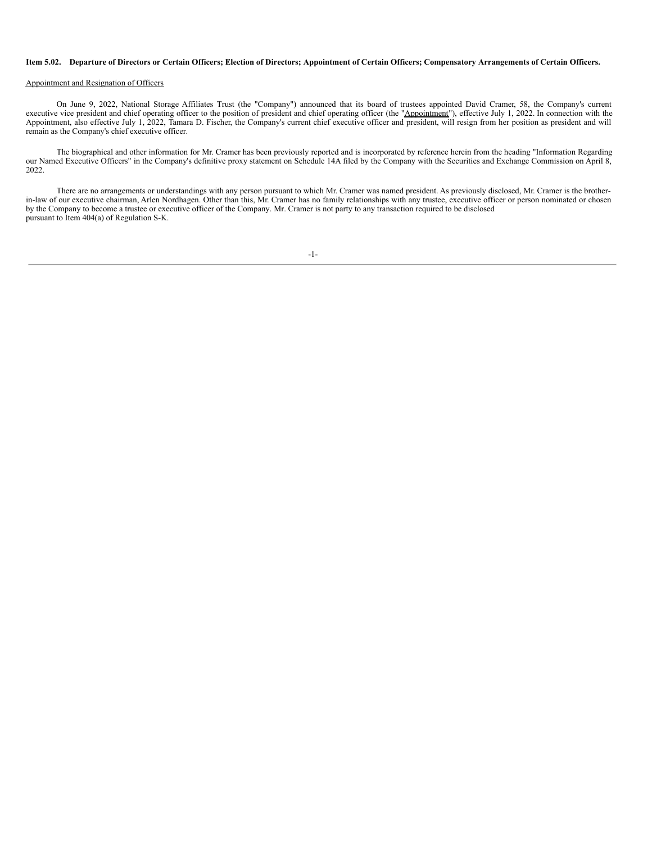#### Item 5.02. Departure of Directors or Certain Officers; Election of Directors; Appointment of Certain Officers; Compensatory Arrangements of Certain Officers.

### Appointment and Resignation of Officers

On June 9, 2022, National Storage Affiliates Trust (the "Company") announced that its board of trustees appointed David Cramer, 58, the Company's current executive vice president and chief operating officer to the position of president and chief operating officer (the "Appointment"), effective July 1, 2022. In connection with the Appointment, also effective July 1, 2022, Tamara D. Fischer, the Company's current chief executive officer and president, will resign from her position as president and will remain as the Company's chief executive officer.

The biographical and other information for Mr. Cramer has been previously reported and is incorporated by reference herein from the heading "Information Regarding our Named Executive Officers" in the Company's definitive proxy statement on Schedule 14A filed by the Company with the Securities and Exchange Commission on April 8, 2022.

There are no arrangements or understandings with any person pursuant to which Mr. Cramer was named president. As previously disclosed, Mr. Cramer is the brotherin-law of our executive chairman, Arlen Nordhagen. Other than this, Mr. Cramer has no family relationships with any trustee, executive officer or person nominated or chosen by the Company to become a trustee or executive officer of the Company. Mr. Cramer is not party to any transaction required to be disclosed pursuant to Item 404(a) of Regulation S-K.

-1-